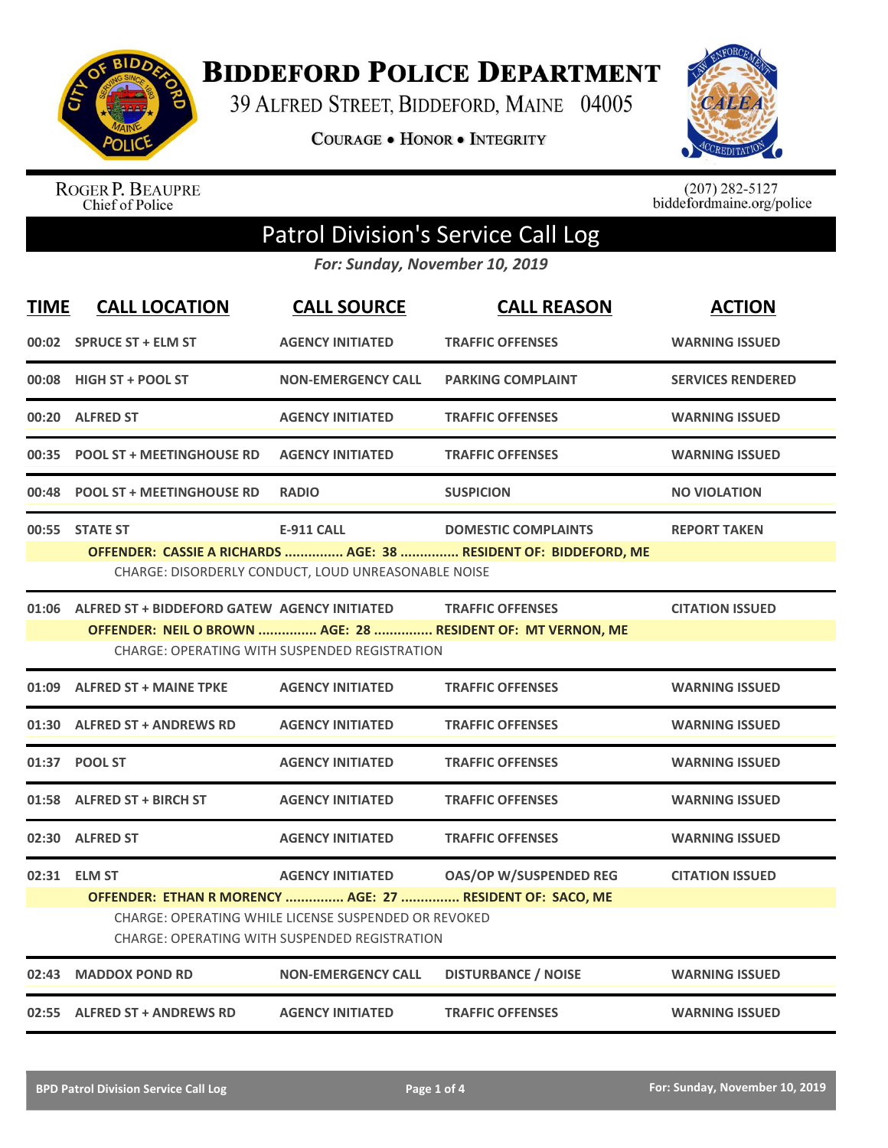

**BIDDEFORD POLICE DEPARTMENT** 

39 ALFRED STREET, BIDDEFORD, MAINE 04005

COURAGE . HONOR . INTEGRITY



ROGER P. BEAUPRE<br>Chief of Police

 $(207)$  282-5127<br>biddefordmaine.org/police

## Patrol Division's Service Call Log

*For: Sunday, November 10, 2019*

| <b>TIME</b> | <b>CALL LOCATION</b>                                                                                                                                                                                                                                                            | <b>CALL SOURCE</b>                                                       | <b>CALL REASON</b>                                                                             | <b>ACTION</b>            |  |
|-------------|---------------------------------------------------------------------------------------------------------------------------------------------------------------------------------------------------------------------------------------------------------------------------------|--------------------------------------------------------------------------|------------------------------------------------------------------------------------------------|--------------------------|--|
|             | 00:02 SPRUCE ST + ELM ST                                                                                                                                                                                                                                                        | <b>AGENCY INITIATED</b>                                                  | <b>TRAFFIC OFFENSES</b>                                                                        | <b>WARNING ISSUED</b>    |  |
|             | 00:08 HIGH ST + POOL ST                                                                                                                                                                                                                                                         | <b>NON-EMERGENCY CALL</b>                                                | <b>PARKING COMPLAINT</b>                                                                       | <b>SERVICES RENDERED</b> |  |
|             | 00:20 ALFRED ST                                                                                                                                                                                                                                                                 | <b>AGENCY INITIATED</b>                                                  | <b>TRAFFIC OFFENSES</b>                                                                        | <b>WARNING ISSUED</b>    |  |
|             | 00:35 POOL ST + MEETINGHOUSE RD                                                                                                                                                                                                                                                 | <b>AGENCY INITIATED</b>                                                  | <b>TRAFFIC OFFENSES</b>                                                                        | <b>WARNING ISSUED</b>    |  |
|             | 00:48 POOL ST + MEETINGHOUSE RD                                                                                                                                                                                                                                                 | <b>RADIO</b>                                                             | <b>SUSPICION</b>                                                                               | <b>NO VIOLATION</b>      |  |
|             | 00:55 STATE ST                                                                                                                                                                                                                                                                  | <b>E-911 CALL</b><br>CHARGE: DISORDERLY CONDUCT, LOUD UNREASONABLE NOISE | <b>DOMESTIC COMPLAINTS</b><br>OFFENDER: CASSIE A RICHARDS  AGE: 38  RESIDENT OF: BIDDEFORD, ME | <b>REPORT TAKEN</b>      |  |
|             | 01:06 ALFRED ST + BIDDEFORD GATEW AGENCY INITIATED<br><b>TRAFFIC OFFENSES</b><br><b>CITATION ISSUED</b><br>OFFENDER: NEIL O BROWN  AGE: 28  RESIDENT OF: MT VERNON, ME<br>CHARGE: OPERATING WITH SUSPENDED REGISTRATION                                                         |                                                                          |                                                                                                |                          |  |
|             | 01:09 ALFRED ST + MAINE TPKE                                                                                                                                                                                                                                                    | <b>AGENCY INITIATED</b>                                                  | <b>TRAFFIC OFFENSES</b>                                                                        | <b>WARNING ISSUED</b>    |  |
| 01:30       | <b>ALFRED ST + ANDREWS RD</b>                                                                                                                                                                                                                                                   | <b>AGENCY INITIATED</b>                                                  | <b>TRAFFIC OFFENSES</b>                                                                        | <b>WARNING ISSUED</b>    |  |
|             | 01:37 POOL ST                                                                                                                                                                                                                                                                   | <b>AGENCY INITIATED</b>                                                  | <b>TRAFFIC OFFENSES</b>                                                                        | <b>WARNING ISSUED</b>    |  |
|             | 01:58 ALFRED ST + BIRCH ST                                                                                                                                                                                                                                                      | <b>AGENCY INITIATED</b>                                                  | <b>TRAFFIC OFFENSES</b>                                                                        | <b>WARNING ISSUED</b>    |  |
|             | 02:30 ALFRED ST                                                                                                                                                                                                                                                                 | <b>AGENCY INITIATED</b>                                                  | <b>TRAFFIC OFFENSES</b>                                                                        | <b>WARNING ISSUED</b>    |  |
|             | <b>AGENCY INITIATED</b><br><b>OAS/OP W/SUSPENDED REG</b><br><b>CITATION ISSUED</b><br>02:31 ELM ST<br>OFFENDER: ETHAN R MORENCY  AGE: 27  RESIDENT OF: SACO, ME<br>CHARGE: OPERATING WHILE LICENSE SUSPENDED OR REVOKED<br><b>CHARGE: OPERATING WITH SUSPENDED REGISTRATION</b> |                                                                          |                                                                                                |                          |  |
| 02:43       | <b>MADDOX POND RD</b>                                                                                                                                                                                                                                                           | <b>NON-EMERGENCY CALL</b>                                                | <b>DISTURBANCE / NOISE</b>                                                                     | <b>WARNING ISSUED</b>    |  |
|             | 02:55 ALFRED ST + ANDREWS RD                                                                                                                                                                                                                                                    | <b>AGENCY INITIATED</b>                                                  | <b>TRAFFIC OFFENSES</b>                                                                        | <b>WARNING ISSUED</b>    |  |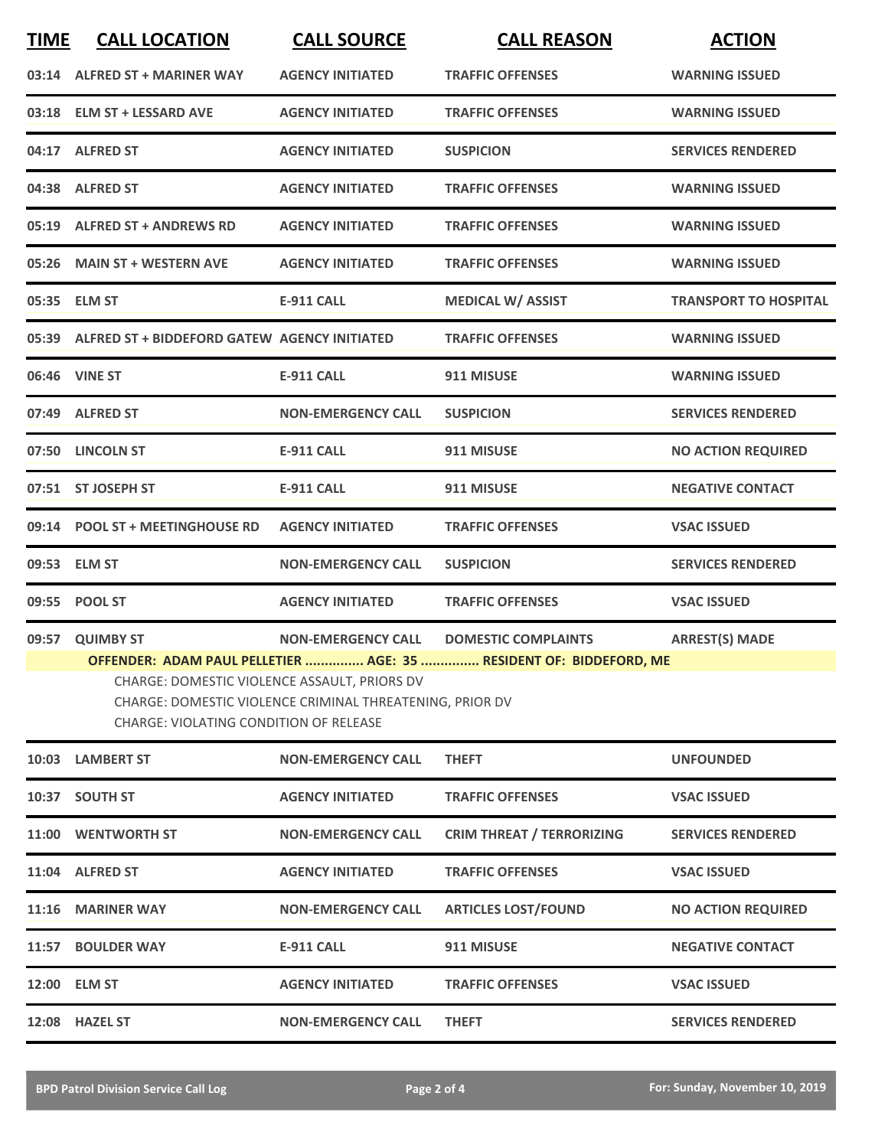| <b>TIME</b> | <b>CALL LOCATION</b>                                                                   | <b>CALL SOURCE</b>                                       | <b>CALL REASON</b>                                                 | <b>ACTION</b>                |
|-------------|----------------------------------------------------------------------------------------|----------------------------------------------------------|--------------------------------------------------------------------|------------------------------|
|             | 03:14 ALFRED ST + MARINER WAY                                                          | <b>AGENCY INITIATED</b>                                  | <b>TRAFFIC OFFENSES</b>                                            | <b>WARNING ISSUED</b>        |
|             | 03:18 ELM ST + LESSARD AVE                                                             | <b>AGENCY INITIATED</b>                                  | <b>TRAFFIC OFFENSES</b>                                            | <b>WARNING ISSUED</b>        |
|             | 04:17 ALFRED ST                                                                        | <b>AGENCY INITIATED</b>                                  | <b>SUSPICION</b>                                                   | <b>SERVICES RENDERED</b>     |
|             | 04:38 ALFRED ST                                                                        | <b>AGENCY INITIATED</b>                                  | <b>TRAFFIC OFFENSES</b>                                            | <b>WARNING ISSUED</b>        |
|             | 05:19 ALFRED ST + ANDREWS RD                                                           | <b>AGENCY INITIATED</b>                                  | <b>TRAFFIC OFFENSES</b>                                            | <b>WARNING ISSUED</b>        |
|             | 05:26 MAIN ST + WESTERN AVE                                                            | <b>AGENCY INITIATED</b>                                  | <b>TRAFFIC OFFENSES</b>                                            | <b>WARNING ISSUED</b>        |
|             | 05:35 ELM ST                                                                           | <b>E-911 CALL</b>                                        | <b>MEDICAL W/ ASSIST</b>                                           | <b>TRANSPORT TO HOSPITAL</b> |
|             | 05:39 ALFRED ST + BIDDEFORD GATEW AGENCY INITIATED                                     |                                                          | <b>TRAFFIC OFFENSES</b>                                            | <b>WARNING ISSUED</b>        |
|             | 06:46 VINE ST                                                                          | <b>E-911 CALL</b>                                        | 911 MISUSE                                                         | <b>WARNING ISSUED</b>        |
|             | 07:49 ALFRED ST                                                                        | <b>NON-EMERGENCY CALL</b>                                | <b>SUSPICION</b>                                                   | <b>SERVICES RENDERED</b>     |
|             | 07:50 LINCOLN ST                                                                       | E-911 CALL                                               | 911 MISUSE                                                         | <b>NO ACTION REQUIRED</b>    |
|             | 07:51 ST JOSEPH ST                                                                     | <b>E-911 CALL</b>                                        | 911 MISUSE                                                         | <b>NEGATIVE CONTACT</b>      |
|             | 09:14 POOL ST + MEETINGHOUSE RD                                                        | <b>AGENCY INITIATED</b>                                  | <b>TRAFFIC OFFENSES</b>                                            | <b>VSAC ISSUED</b>           |
|             | 09:53 ELM ST                                                                           | <b>NON-EMERGENCY CALL</b>                                | <b>SUSPICION</b>                                                   | <b>SERVICES RENDERED</b>     |
|             | 09:55 POOL ST                                                                          | <b>AGENCY INITIATED</b>                                  | <b>TRAFFIC OFFENSES</b>                                            | <b>VSAC ISSUED</b>           |
|             | 09:57 QUIMBY ST                                                                        | NON-EMERGENCY CALL DOMESTIC COMPLAINTS                   |                                                                    | <b>ARREST(S) MADE</b>        |
|             | CHARGE: DOMESTIC VIOLENCE ASSAULT, PRIORS DV<br>CHARGE: VIOLATING CONDITION OF RELEASE | CHARGE: DOMESTIC VIOLENCE CRIMINAL THREATENING, PRIOR DV | OFFENDER: ADAM PAUL PELLETIER  AGE: 35  RESIDENT OF: BIDDEFORD, ME |                              |
| 10:03       | <b>LAMBERT ST</b>                                                                      | <b>NON-EMERGENCY CALL</b>                                | <b>THEFT</b>                                                       | <b>UNFOUNDED</b>             |
| 10:37       | <b>SOUTH ST</b>                                                                        | <b>AGENCY INITIATED</b>                                  | <b>TRAFFIC OFFENSES</b>                                            | <b>VSAC ISSUED</b>           |
|             | 11:00 WENTWORTH ST                                                                     | <b>NON-EMERGENCY CALL</b>                                | <b>CRIM THREAT / TERRORIZING</b>                                   | <b>SERVICES RENDERED</b>     |
|             | 11:04 ALFRED ST                                                                        | <b>AGENCY INITIATED</b>                                  | <b>TRAFFIC OFFENSES</b>                                            | <b>VSAC ISSUED</b>           |
|             | 11:16 MARINER WAY                                                                      | <b>NON-EMERGENCY CALL</b>                                | <b>ARTICLES LOST/FOUND</b>                                         | <b>NO ACTION REQUIRED</b>    |
|             | 11:57 BOULDER WAY                                                                      | <b>E-911 CALL</b>                                        | 911 MISUSE                                                         | <b>NEGATIVE CONTACT</b>      |
|             | 12:00 ELM ST                                                                           | <b>AGENCY INITIATED</b>                                  | <b>TRAFFIC OFFENSES</b>                                            | <b>VSAC ISSUED</b>           |
|             | 12:08 HAZEL ST                                                                         | <b>NON-EMERGENCY CALL</b>                                | <b>THEFT</b>                                                       | <b>SERVICES RENDERED</b>     |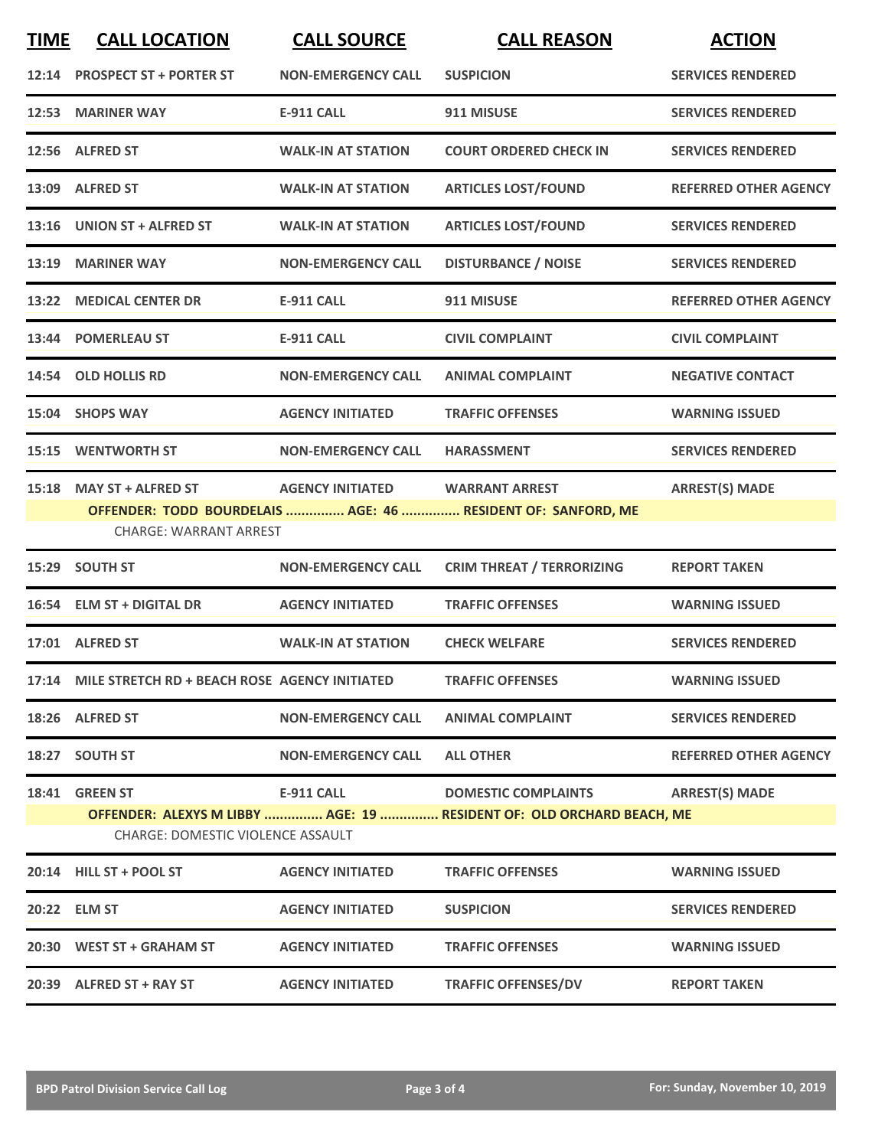| <b>TIME</b> | <b>CALL LOCATION</b>                                       | <b>CALL SOURCE</b>        | <b>CALL REASON</b>                                                                                  | <b>ACTION</b>                |
|-------------|------------------------------------------------------------|---------------------------|-----------------------------------------------------------------------------------------------------|------------------------------|
|             | 12:14 PROSPECT ST + PORTER ST                              | <b>NON-EMERGENCY CALL</b> | <b>SUSPICION</b>                                                                                    | <b>SERVICES RENDERED</b>     |
|             | 12:53 MARINER WAY                                          | <b>E-911 CALL</b>         | 911 MISUSE                                                                                          | <b>SERVICES RENDERED</b>     |
|             | 12:56 ALFRED ST                                            | <b>WALK-IN AT STATION</b> | <b>COURT ORDERED CHECK IN</b>                                                                       | <b>SERVICES RENDERED</b>     |
|             | 13:09 ALFRED ST                                            | <b>WALK-IN AT STATION</b> | <b>ARTICLES LOST/FOUND</b>                                                                          | <b>REFERRED OTHER AGENCY</b> |
|             | 13:16 UNION ST + ALFRED ST                                 | <b>WALK-IN AT STATION</b> | <b>ARTICLES LOST/FOUND</b>                                                                          | <b>SERVICES RENDERED</b>     |
|             | 13:19 MARINER WAY                                          | <b>NON-EMERGENCY CALL</b> | <b>DISTURBANCE / NOISE</b>                                                                          | <b>SERVICES RENDERED</b>     |
|             | 13:22 MEDICAL CENTER DR                                    | <b>E-911 CALL</b>         | 911 MISUSE                                                                                          | <b>REFERRED OTHER AGENCY</b> |
|             | 13:44 POMERLEAU ST                                         | <b>E-911 CALL</b>         | <b>CIVIL COMPLAINT</b>                                                                              | <b>CIVIL COMPLAINT</b>       |
|             | 14:54 OLD HOLLIS RD                                        | <b>NON-EMERGENCY CALL</b> | <b>ANIMAL COMPLAINT</b>                                                                             | <b>NEGATIVE CONTACT</b>      |
|             | 15:04 SHOPS WAY                                            | <b>AGENCY INITIATED</b>   | <b>TRAFFIC OFFENSES</b>                                                                             | <b>WARNING ISSUED</b>        |
|             | 15:15 WENTWORTH ST                                         | <b>NON-EMERGENCY CALL</b> | <b>HARASSMENT</b>                                                                                   | <b>SERVICES RENDERED</b>     |
|             | 15:18 MAY ST + ALFRED ST<br><b>CHARGE: WARRANT ARREST</b>  | <b>AGENCY INITIATED</b>   | <b>WARRANT ARREST</b><br>OFFENDER: TODD BOURDELAIS  AGE: 46  RESIDENT OF: SANFORD, ME               | <b>ARREST(S) MADE</b>        |
|             | 15:29 SOUTH ST                                             | <b>NON-EMERGENCY CALL</b> | <b>CRIM THREAT / TERRORIZING</b>                                                                    | <b>REPORT TAKEN</b>          |
|             | 16:54 ELM ST + DIGITAL DR                                  | <b>AGENCY INITIATED</b>   | <b>TRAFFIC OFFENSES</b>                                                                             | <b>WARNING ISSUED</b>        |
|             | 17:01 ALFRED ST                                            | <b>WALK-IN AT STATION</b> | <b>CHECK WELFARE</b>                                                                                | <b>SERVICES RENDERED</b>     |
|             | 17:14 MILE STRETCH RD + BEACH ROSE AGENCY INITIATED        |                           | <b>TRAFFIC OFFENSES</b>                                                                             | <b>WARNING ISSUED</b>        |
|             | 18:26 ALFRED ST                                            | <b>NON-EMERGENCY CALL</b> | <b>ANIMAL COMPLAINT</b>                                                                             | <b>SERVICES RENDERED</b>     |
|             | 18:27 SOUTH ST                                             | <b>NON-EMERGENCY CALL</b> | <b>ALL OTHER</b>                                                                                    | <b>REFERRED OTHER AGENCY</b> |
|             | 18:41 GREEN ST<br><b>CHARGE: DOMESTIC VIOLENCE ASSAULT</b> | <b>E-911 CALL</b>         | <b>DOMESTIC COMPLAINTS</b><br>OFFENDER: ALEXYS M LIBBY  AGE: 19  RESIDENT OF: OLD ORCHARD BEACH, ME | <b>ARREST(S) MADE</b>        |
|             | 20:14 HILL ST + POOL ST                                    | <b>AGENCY INITIATED</b>   | <b>TRAFFIC OFFENSES</b>                                                                             | <b>WARNING ISSUED</b>        |
|             | 20:22 ELM ST                                               | <b>AGENCY INITIATED</b>   | <b>SUSPICION</b>                                                                                    | <b>SERVICES RENDERED</b>     |
|             | 20:30 WEST ST + GRAHAM ST                                  | <b>AGENCY INITIATED</b>   | <b>TRAFFIC OFFENSES</b>                                                                             | <b>WARNING ISSUED</b>        |
|             | 20:39 ALFRED ST + RAY ST                                   | <b>AGENCY INITIATED</b>   | <b>TRAFFIC OFFENSES/DV</b>                                                                          | <b>REPORT TAKEN</b>          |